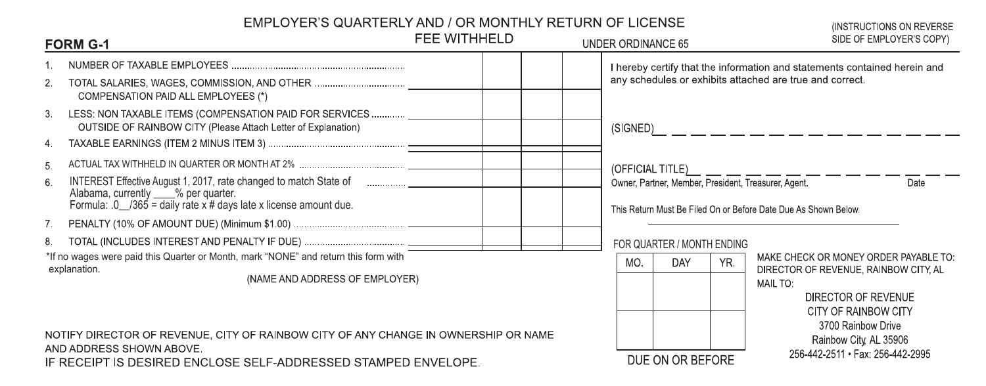## EMPLOYER'S QUARTERLY AND / OR MONTHLY RETURN OF LICENSE

| EMPLOYER'S QUARTERLY AND / OR MONTHLY RETURN OF LICENSE<br>(INSTRUCTIONS ON REVERSE) |                                                                                                                                                                                                                                 |              |                    |                                                                                                                                 |     |                                                                                                                        |  |
|--------------------------------------------------------------------------------------|---------------------------------------------------------------------------------------------------------------------------------------------------------------------------------------------------------------------------------|--------------|--------------------|---------------------------------------------------------------------------------------------------------------------------------|-----|------------------------------------------------------------------------------------------------------------------------|--|
| <b>FORM G-1</b>                                                                      |                                                                                                                                                                                                                                 | FEE WITHHELD | UNDER ORDINANCE 65 |                                                                                                                                 |     | SIDE OF EMPLOYER'S COPY)                                                                                               |  |
|                                                                                      |                                                                                                                                                                                                                                 |              |                    | I hereby certify that the information and statements contained herein and                                                       |     |                                                                                                                        |  |
| 2.                                                                                   | TOTAL SALARIES, WAGES, COMMISSION, AND OTHER<br>COMPENSATION PAID ALL EMPLOYEES (*)                                                                                                                                             |              |                    | any schedules or exhibits attached are true and correct.<br>(SIGNED)<br>. <u>__ _ _ _ _ _ _ _ _ _ _ _</u> _ _ _ _               |     |                                                                                                                        |  |
| 3.                                                                                   | LESS: NON TAXABLE ITEMS (COMPENSATION PAID FOR SERVICES<br>OUTSIDE OF RAINBOW CITY (Please Attach Letter of Explanation)                                                                                                        |              |                    |                                                                                                                                 |     |                                                                                                                        |  |
| 4.                                                                                   |                                                                                                                                                                                                                                 |              |                    |                                                                                                                                 |     |                                                                                                                        |  |
| 5.                                                                                   |                                                                                                                                                                                                                                 |              |                    | (OFFICIAL TITLE)_ _ _ _ _ _ _ _ _ _ _ _ _ _ _ _ _ _                                                                             |     |                                                                                                                        |  |
| 6.                                                                                   | INTEREST Effective August 1, 2017, rate changed to match State of <b>Fall Accord Contract Contract Contract</b> D<br>Alabama, currently ___% per quarter.<br>Formula: $0$ /365 = daily rate x # days late x license amount due. |              |                    | Date<br>Owner, Partner, Member, President, Treasurer, Agent.<br>This Return Must Be Filed On or Before Date Due As Shown Below. |     |                                                                                                                        |  |
| 7.                                                                                   |                                                                                                                                                                                                                                 |              |                    |                                                                                                                                 |     |                                                                                                                        |  |
| 8.                                                                                   |                                                                                                                                                                                                                                 |              |                    | FOR QUARTER / MONTH ENDING                                                                                                      |     |                                                                                                                        |  |
|                                                                                      | *If no wages were paid this Quarter or Month, mark "NONE" and return this form with                                                                                                                                             |              | MO.                | <b>DAY</b>                                                                                                                      | YR. | MAKE CHECK OR MONEY ORDER PAYABLE TO:                                                                                  |  |
|                                                                                      | explanation.<br>(NAME AND ADDRESS OF EMPLOYER)                                                                                                                                                                                  |              |                    |                                                                                                                                 |     | DIRECTOR OF REVENUE, RAINBOW CITY, AL<br>MAIL TO:<br>DIRECTOR OF REVENUE<br>CITY OF RAINBOW CITY<br>3700 Rainbow Drive |  |
|                                                                                      | NOTIFY DIRECTOR OF REVENUE, CITY OF RAINBOW CITY OF ANY CHANGE IN OWNERSHIP OR NAME<br>AND ADDRESS SHOWN ABOVE.                                                                                                                 |              |                    | Rainbow City, AL 35906                                                                                                          |     |                                                                                                                        |  |
| IF RECEIPT IS DESIRED ENCLOSE SELF-ADDRESSED STAMPED ENVELOPE.                       |                                                                                                                                                                                                                                 |              |                    | DUE ON OR BEFORE                                                                                                                |     | 256-442-2511 · Fax: 256-442-2995                                                                                       |  |